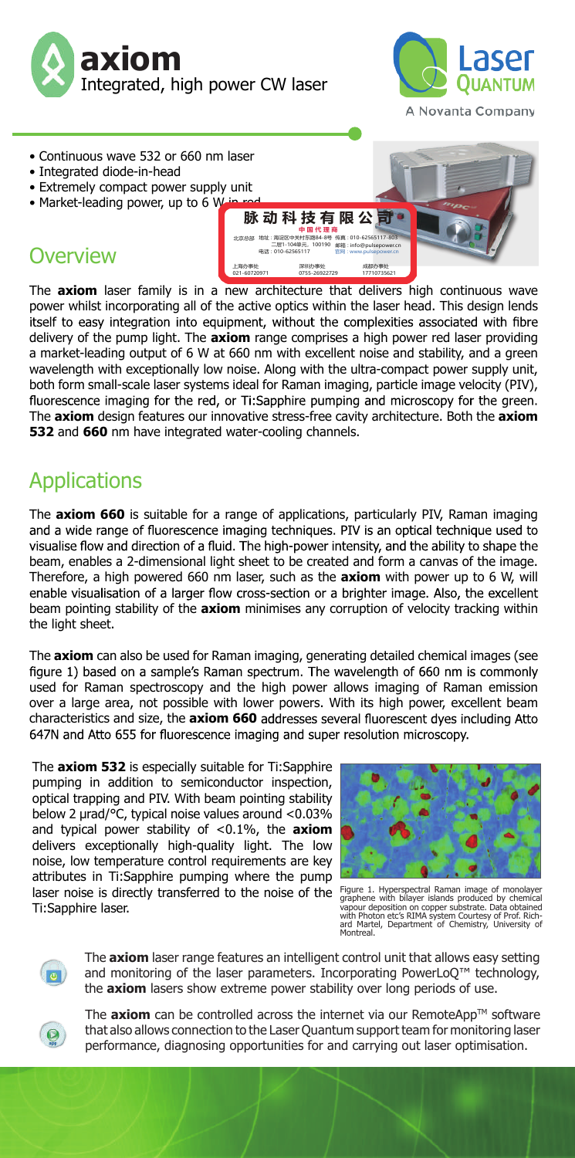



- Continuous wave 532 or 660 nm laser
- Integrated diode-in-head
- Extremely compact power supply unit
- Market-leading power, up to 6 W

## **Overview**

上海办事处 深圳办事处 成都办事处 021-60720971 0755-26922729 17710735621 The **axiom** laser family is in a new architecture that delivers high continuous wave power whilst incorporating all of the active optics within the laser head. This design lends<br>itself to easy integration into equipment, without the complexities associated with fibre delivery of the pump light. The **axiom** range comprises a high power red laser providing a market-leading output of 6 W at 660 nm with excellent noise and stability, and a green wavelength with exceptionally low noise. Along with the ultra-compact power supply unit, both form small-scale laser systems ideal for Raman imaging, particle image velocity (PIV), fluorescence imaging for the red, or Ti:Sapphire pumping and microscopy for the green. The **axiom** design features our innovative stress-free cavity architecture. Both the **axiom 532** and **660** nm have integrated water-cooling channels.

地址 : 海淀区中关村东路84-8号

010-62565117

电话 :

北京总部

脉 动 科 技 有 限 公 司 ·

**中 国 代 理 商** 二层1-104单元,100190 邮箱 : info@pulsepower.c<br>: 010-62565117 官网 : www.pulsepower.cn

传真 : 010-62565117-803 邮箱 : info@pulsepower.cn

## Applications

The **axiom 660** is suitable for a range of applications, particularly PIV, Raman imaging visualise flow and direction of a fluid. The high-power intensity, and the ability to shape the beam, enables a 2-dimensional light sheet to be created and form a canvas of the image. Therefore, a high powered 660 nm laser, such as the **axiom** with power up to 6 W, will enable visualisation of a larger flow cross-section or a brighter image. Also, the excellent beam pointing stability of the **axiom** minimises any corruption of velocity tracking within the light sheet.

The **axiom** can also be used for Raman imaging, generating detailed chemical images (see used for Raman spectroscopy and the high power allows imaging of Raman emission over a large area, not possible with lower powers. With its high power, excellent beam characteristics and size, the **axiom 660**

The **axiom 532** is especially suitable for Ti:Sapphire pumping in addition to semiconductor inspection, optical trapping and PIV. With beam pointing stability below 2 µrad/°C, typical noise values around <0.03% and typical power stability of <0.1%, the **axiom** delivers exceptionally high-quality light. The low noise, low temperature control requirements are key attributes in Ti:Sapphire pumping where the pump laser noise is directly transferred to the noise of the Ti:Sapphire laser.



Figure 1. Hyperspectral Raman image of monolayer<br>graphene with bilayer islands produced by chemical<br>vapour deposition on copper substrate. Data obtained<br>with Photon etc's RIMA system Courtesy of Prof. Rich-<br>ard Martel, Dep



The **axiom** laser range features an intelligent control unit that allows easy setting and monitoring of the laser parameters. Incorporating PowerLoQ™ technology, the **axiom** lasers show extreme power stability over long periods of use.



The **axiom** can be controlled across the internet via our RemoteApp™ software that also allows connection to the Laser Quantum support team for monitoring laser performance, diagnosing opportunities for and carrying out laser optimisation.